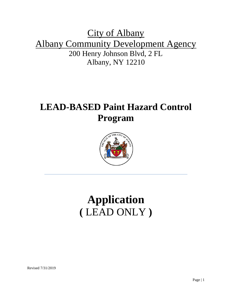# City of Albany Albany Community Development Agency 200 Henry Johnson Blvd, 2 FL Albany, NY 12210

# **LEAD-BASED Paint Hazard Control Program**



# **Application (** LEAD ONLY **)**

Revised 7/31/2019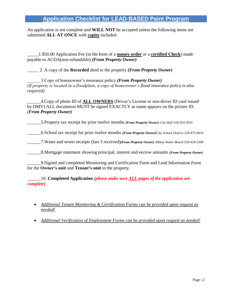# **Application Checklist for LEAD-BASED Paint Program**

An application is not complete and **WILL NOT** be accepted unless the following items are submitted **ALL AT ONCE** with *copies* included:

\_\_\_\_\_1.\$50.00 Application Fee (in the form of a **money order** or a **certified Check**) made payable to ACDA(non-refundable) *(From Property Owner)*

\_\_\_\_\_ 2. A copy of the **Recorded** deed to the property *(From Property Owner)*

\_\_\_\_\_\_3.Copy of homeowner's insurance policy *(From Property Owner) (If property is located in a floodplain, a copy of homeowner's flood insurance policy is also required)*

\_\_\_\_\_\_4.Copy of photo ID of **ALL OWNERS** (Driver's License or non-driver ID card issued by DMV) ALL documents MUST be signed EXACTLY as name appears on the picture ID. *(From Property Owner)*

\_\_\_\_\_\_5.Property tax receipt for prior twelve months *(From Property Owner) City Hall 518-434-5035*

\_\_\_\_\_\_6.School tax receipt for prior twelve months *(From Property Owner)City School District 518-475-6035*

\_\_\_\_\_\_7.Water and sewer receipts (last 3 received)*(From Property Owner) Albany Water Board 518-434-5300*

\_\_\_\_\_\_8.Mortgage statement showing principal, interest and escrow amounts *(From Property Owner)*

\_\_\_\_\_\_9.Signed and completed Monitoring and Certification Form and Lead Information Form for the **Owner's unit** and **Tenant's unit** in the property.

\_\_\_\_\_\_10. **Completed Application** *(please make sure ALL pages of the application are complete)*

- *Additional Tenant Monitoring & Certification Forms can be provided upon request as needed!*
- *Additional Verification of Employment Forms can be provided upon request as needed!*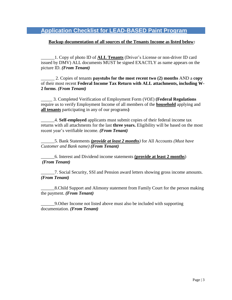# **Application Checklist for LEAD-BASED Paint Program**

#### **Backup documentation of all sources of the Tenants Income as listed below:**

\_\_\_\_\_\_1. Copy of photo ID of **ALL Tenants** (Driver's License or non-driver ID card issued by DMV) ALL documents MUST be signed EXACTLY as name appears on the picture ID. *(From Tenant)*

\_\_\_\_\_\_ 2. Copies of tenants **paystubs for the most recent two (2) months** AND a **copy** of their most recent **Federal Income Tax Return with ALL attachments, including W-2 forms**. *(From Tenant)*

\_\_\_\_\_ 3. Completed Verification of Employment Form (*VOE*) **(Federal Regulations**  require us to verify Employment Income of all members of the **household** applying and **all tenants** participating in any of our programs**)**

\_\_\_\_\_\_4. **Self-employed** applicants must submit copies of their federal income tax returns with all attachments for the last **three years.** Eligibility will be based on the most recent year's verifiable income. *(From Tenant)*

\_\_\_\_\_\_5. Bank Statements *(provide at least 2 months)* for All Accounts *(Must have Customer and Bank name) (From Tenant)*

\_\_\_\_\_\_6. Interest and Dividend income statements **(provide at least 2 months**) *(From Tenant)*

\_\_\_\_\_\_7. Social Security, SSI and Pension award letters showing gross income amounts. *(From Tenant)*

\_\_\_\_\_\_8.Child Support and Alimony statement from Family Court for the person making the payment. *(From Tenant)*

\_\_\_\_\_\_9.Other Income not listed above must also be included with supporting documentation. *(From Tenant)*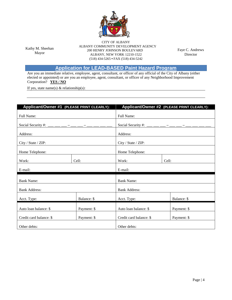

Kathy M. Sheehan Mayor

CITY OF ALBANY ALBANY COMMUNITY DEVELOPMENT AGENCY  $200$  HENRY JOHNSON BOULEVARD ALBANY, NEW YORK 12210-1522 (518) 434-5265 **•** FAX (518) 434-5242

Faye C. Andrews Director

# **Application for LEAD-BASED Paint Hazard Program**

Are you an immediate relative, employee, agent, consultant, or officer of any official of the City of Albany (either elected or appointed) or are you an employee, agent, consultant, or officer of any Neighborhood Improvement Corporation? **YES / NO**

If yes, state name(s)  $&$  relationship(s):

| Applicant/Owner #1 (PLEASE PRINT CLEARLY):         |             | Applicant/Owner #2 (PLEASE PRINT CLEARLY): |             |  |  |
|----------------------------------------------------|-------------|--------------------------------------------|-------------|--|--|
| Full Name:                                         |             | Full Name:                                 |             |  |  |
| Social Security #: ___ __ __ _ __ _ __ _ _ __ _ __ |             |                                            |             |  |  |
| Address:                                           |             | Address:                                   |             |  |  |
| City / State / ZIP:                                |             | City / State / ZIP:                        |             |  |  |
| Home Telephone:                                    |             | Home Telephone:                            |             |  |  |
| Work:                                              | Cell:       | Work:<br>Cell:                             |             |  |  |
| E-mail:                                            |             | E-mail:                                    |             |  |  |
| <b>Bank Name:</b>                                  |             | <b>Bank Name:</b>                          |             |  |  |
| <b>Bank Address:</b>                               |             | <b>Bank Address:</b>                       |             |  |  |
| Acct. Type:                                        | Balance: \$ | Acct. Type:                                | Balance: \$ |  |  |
| Auto loan balance: \$                              | Payment: \$ | Payment: \$<br>Auto loan balance: \$       |             |  |  |
| Credit card balance: \$                            | Payment: \$ | Credit card balance: \$<br>Payment: \$     |             |  |  |
| Other debts:                                       |             | Other debts:                               |             |  |  |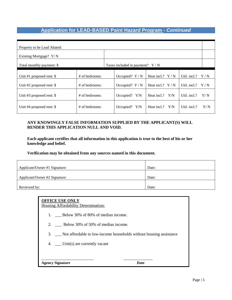# **Application for LEAD-BASED Paint Hazard Program -** *Continued*

| Property to be Lead Abated: |                  |  |                                  |                   |     |                    |     |
|-----------------------------|------------------|--|----------------------------------|-------------------|-----|--------------------|-----|
| Existing Mortgage? Y/N      |                  |  |                                  |                   |     |                    |     |
| Total monthly payment: \$   |                  |  | Taxes included in payment? $Y/N$ |                   |     |                    |     |
| Unit #1 proposed rent: $\$  | # of bedrooms:   |  | Occupied? $Y/N$                  | Heat incl.? $Y/N$ |     | Util. incl.?       | Y/N |
| Unit #2 proposed rent: $\$  | $#$ of bedrooms: |  | Occupied? $Y/N$                  | Heat incl.? $Y/N$ |     | Util. incl.? $Y/N$ |     |
| Unit #3 proposed rent: $\$  | $#$ of bedrooms: |  | Occupied? Y/N                    | Heat incl.? $Y/N$ |     | Util. incl.?       | Y/N |
| Unit #4 proposed rent: $\$  | $#$ of bedrooms: |  | Occupied? $Y/N$                  | Heat incl.?       | Y/N | Util. incl.?       | Y/N |

#### **ANY KNOWINGLY FALSE INFORMATION SUPPLIED BY THE APPLICANT(S) WILL RENDER THIS APPLICATION NULL AND VOID.**

**Each applicant certifies that all information in this application is true to the best of his or her knowledge and belief.**

#### **Verification may be obtained from any sources named in this document.**

| Applicant/Owner #1 Signature: | Date: |
|-------------------------------|-------|
|                               |       |
| Applicant/Owner #2 Signature: | Date: |
|                               |       |
| Reviewed by:                  | Date: |

# **OFFICE USE ONLY**

Housing Affordability Determination:

- 1. \_\_\_ Below 30% of 80% of median income.
- 2. \_\_\_ Below 30% of 50% of median income.

\_\_\_\_\_\_\_\_\_\_\_\_\_\_\_\_\_\_\_\_\_\_\_\_\_ \_\_\_\_\_\_\_\_\_\_\_\_\_\_

- 3. \_\_\_ Not affordable to low-income households without housing assistance
- 4. \_\_ Unit(s) are currently vacant

**Agency Signature Date**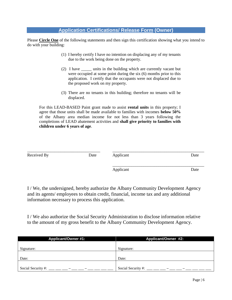## **Application Certifications/ Release Form (Owner)**

Please **Circle One** of the following statements and then sign this certification showing what you intend to do with your building:

- (1) I hereby certify I have no intention on displacing any of my tenants due to the work being done on the property.
- (2) I have \_\_\_\_\_ units in the building which are currently vacant but were occupied at some point during the six (6) months prior to this application. I certify that the occupants were not displaced due to the proposed work on my property.
- (3) There are no tenants in this building; therefore no tenants will be displaced.

For this LEAD-BASED Paint grant made to assist **rental units** in this property; I agree that those units shall be made available to families with incomes **below 50%** of the Albany area median income for not less than 3 years following the completions of LEAD abatement activities and **shall give priority to families with children under 6 years of age**.

| Received By | Date | Applicant | Date |
|-------------|------|-----------|------|
|             |      | Applicant | Date |

I / We, the undersigned, hereby authorize the Albany Community Development Agency and its agents/ employees to obtain credit, financial, income tax and any additional information necessary to process this application.

I / We also authorize the Social Security Administration to disclose information relative to the amount of my gross benefit to the Albany Community Development Agency.

| <b>Applicant/Owner #1:</b> | Applicant/Owner #2: |
|----------------------------|---------------------|
|                            |                     |
| Signature:                 | Signature:          |
|                            |                     |
| Date:                      | Date:               |
|                            |                     |
| Social Security #:         | Social Security #:  |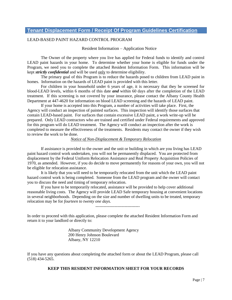## **Tenant Displacement Form / Receipt Of Program Guidelines Certification**

#### LEAD-BASED PAINT HAZARD CONTROL PROGRAM

#### Resident Information – Application Notice

The Owner of the property where you live has applied for Federal funds to identify and control LEAD paint hazards in your home. To determine whether your home is eligible for funds under the Program, we need you to complete the attached Resident Information Form. This information will be kept *strictly confidential* and will be used only to determine eligibility.

The primary goal of this Program is to reduce the hazards posed to children from LEAD paint in homes. Information on the hazards of LEAD paint is provided with this letter.

For children in your household under 6 years of age, it is necessary that they be screened for blood-LEAD levels, within 6 months of this date *and* within 60 days after the completion of the LEAD treatment. If this screening is not covered by your insurance, please contact the Albany County Health Department at 447-4620 for information on blood LEAD screening and the hazards of LEAD paint.

If your home is accepted into this Program, a number of activities will take place. First, the Agency will conduct an inspection of painted surfaces. This inspection will identify those surfaces that contain LEAD-based paint. For surfaces that contain excessive LEAD paint, a work write-up will be prepared. Only LEAD contractors who are trained and certified under Federal requirements and approved for this program will do LEAD treatment. The Agency will conduct an inspection after the work is completed to measure the effectiveness of the treatments. Residents may contact the owner if they wish to review the work to be done.

#### *Notice of Non-Displacement & Temporary Relocation*

If assistance is provided to the owner and the unit or building in which are you living has LEAD paint hazard control work undertaken, you will not be permanently displaced. You are protected from displacement by the Federal Uniform Relocation Assistance and Real Property Acquisition Policies of 1970, as amended. However, if you do decide to move permanently for reasons of your own, you will not be eligible for relocation assistance.

It is likely that you will need to be temporarily relocated from the unit which the LEAD paint hazard control work is being completed. Someone from the LEAD program and the owner will contact you to discuss the need and timing of temporary relocation.

If you have to be temporarily relocated, assistance will be provided to help cover additional reasonable living costs. The Agency will provide LEAD Safe temporary housing at convenient locations in several neighborhoods. Depending on the size and number of dwelling units to be treated, temporary relocation may be for *fourteen to twenty one days.*

--------------------------------

In order to proceed with this application, please complete the attached Resident Information Form and return it to your landlord or directly to:

> Albany Community Development Agency 200 Henry Johnson Boulevard Albany, NY 12210

If you have any questions about completing the attached form or about the LEAD Program, please call (518) 434-5265.

#### **KEEP THIS RESIDENT INFORMATION SHEET FOR YOUR RECORDS**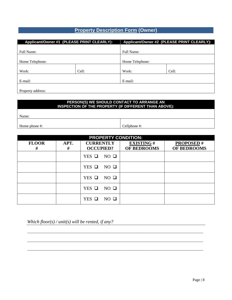# **Property Description Form (Owner)**

| Applicant/Owner #1 (PLEASE PRINT CLEARLY): |       |                 | Applicant/Owner #2 (PLEASE PRINT CLEARLY): |  |
|--------------------------------------------|-------|-----------------|--------------------------------------------|--|
|                                            |       |                 |                                            |  |
| Full Name:                                 |       | Full Name:      |                                            |  |
|                                            |       |                 |                                            |  |
| Home Telephone:                            |       | Home Telephone: |                                            |  |
|                                            |       |                 |                                            |  |
| Work:                                      | Cell: | Work:           | Cell:                                      |  |
|                                            |       |                 |                                            |  |
| E-mail:                                    |       | E-mail:         |                                            |  |
|                                            |       |                 |                                            |  |
| Property address:                          |       |                 |                                            |  |

#### **PERSON(S) WE SHOULD CONTACT TO ARRANGE AN INSPECTION OF THE PROPERTY (IF DIFFERENT THAN ABOVE):**

Name:

Home phone #:  $\qquad \qquad$  Cellphone #:

| <b>PROPERTY CONDITION:</b> |           |                                      |                                 |                                 |  |  |  |
|----------------------------|-----------|--------------------------------------|---------------------------------|---------------------------------|--|--|--|
| <b>FLOOR</b><br>#          | APT.<br># | <b>CURRENTLY</b><br><b>OCCUPIED?</b> | <b>EXISTING#</b><br>OF BEDROOMS | <b>PROPOSED#</b><br>OF BEDROOMS |  |  |  |
|                            |           | $NO$ $\Box$<br>$YES$ $\square$       |                                 |                                 |  |  |  |
|                            |           | $NO$ $\square$<br>$YES$ $\Box$       |                                 |                                 |  |  |  |
|                            |           | $NO$ $\Box$<br>$YES$ $\square$       |                                 |                                 |  |  |  |
|                            |           | $NO$ $\square$<br>$YES$ $\Box$       |                                 |                                 |  |  |  |
|                            |           | $NO$ $\Box$<br>$YES$ $\square$       |                                 |                                 |  |  |  |

\_\_\_\_\_\_\_\_\_\_\_\_\_\_\_\_\_\_\_\_\_\_\_\_\_\_\_\_\_\_\_\_\_\_\_\_\_\_\_\_\_\_\_\_\_\_\_\_\_\_\_\_\_\_\_\_\_\_\_\_\_\_\_\_\_\_\_\_\_\_\_\_\_\_\_\_\_\_\_\_\_\_\_\_\_\_\_\_\_\_\_\_\_

\_\_\_\_\_\_\_\_\_\_\_\_\_\_\_\_\_\_\_\_\_\_\_\_\_\_\_\_\_\_\_\_\_\_\_\_\_\_\_\_\_\_\_\_\_\_\_\_\_\_\_\_\_\_\_\_\_\_\_\_\_\_\_\_\_\_\_\_\_\_\_\_\_\_\_\_\_\_\_\_\_\_\_\_\_\_\_\_\_\_\_\_\_

 $\_$  ,  $\_$  ,  $\_$  ,  $\_$  ,  $\_$  ,  $\_$  ,  $\_$  ,  $\_$  ,  $\_$  ,  $\_$  ,  $\_$  ,  $\_$  ,  $\_$  ,  $\_$  ,  $\_$  ,  $\_$  ,  $\_$  ,  $\_$  ,  $\_$  ,  $\_$  ,  $\_$  ,  $\_$  ,  $\_$  ,  $\_$  ,  $\_$  ,  $\_$  ,  $\_$  ,  $\_$  ,  $\_$  ,  $\_$  ,  $\_$  ,  $\_$  ,  $\_$  ,  $\_$  ,  $\_$  ,  $\_$  ,  $\_$  ,

*Which floor(s) / unit(s) will be rented, if any?*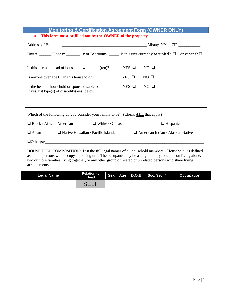## **Monitoring & Certification Agreement Form (OWNER ONLY) This form must be filled out by the OWNER of the property.**

|                                                                                                                       | Albany, NY ZIP |             |  |  |
|-----------------------------------------------------------------------------------------------------------------------|----------------|-------------|--|--|
| Unit #: Floor #: $\Box$ # of Bedrooms: $\Box$ Is this unit currently <b>occupied?</b> $\Box$ or <b>vacant?</b> $\Box$ |                |             |  |  |
| Is this a female head of household with child (ren)?                                                                  | YES O          | $NO$ $\Box$ |  |  |
| Is anyone over age 61 in this household?                                                                              | YES O          | $NO$ $\Box$ |  |  |
| Is the head of household or spouse disabled?<br>If yes, list type(s) of disability(-ies) below:                       | YES O          | $NO$ $\Box$ |  |  |
|                                                                                                                       |                |             |  |  |

Which of the following do you consider your family to be? (Check **ALL** that apply)

| $\Box$ Black / African American<br>$\Box$ White / Caucasian<br>$\Box$ Hispanic |  |
|--------------------------------------------------------------------------------|--|
|--------------------------------------------------------------------------------|--|

 $\Box$  Asian  $\Box$  Native Hawaiian / Pacific Islander  $\Box$  American Indian / Alaskan Native

 $\Box$  Other(s):

HOUSEHOLD COMPOSITION: List the full legal names of all household members. "Household" is defined as all the persons who occupy a housing unit. The occupants may be a single family, one person living alone, two or more families living together, or any other group of related or unrelated persons who share living arrangements.

| <b>Legal Name</b> | <b>Relation to</b><br><b>Head</b> | <b>Sex</b> | Age | <b>D.O.B.</b> | Soc. Sec. # | <b>Occupation</b> |
|-------------------|-----------------------------------|------------|-----|---------------|-------------|-------------------|
|                   | <b>SELF</b>                       |            |     |               |             |                   |
|                   |                                   |            |     |               |             |                   |
|                   |                                   |            |     |               |             |                   |
|                   |                                   |            |     |               |             |                   |
|                   |                                   |            |     |               |             |                   |
|                   |                                   |            |     |               |             |                   |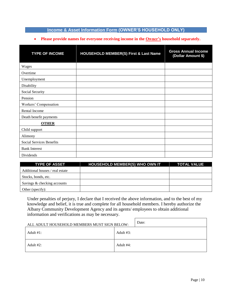## **Income & Asset Information Form (OWNER'S HOUSEHOLD ONLY)**

#### **Please provide names for everyone receiving income in the Owner's household separately.**

| <b>TYPE OF INCOME</b>           | <b>HOUSEHOLD MEMBER(S) First &amp; Last Name</b> | <b>Gross Annual Income</b><br>(Dollar Amount \$) |
|---------------------------------|--------------------------------------------------|--------------------------------------------------|
| Wages                           |                                                  |                                                  |
| Overtime                        |                                                  |                                                  |
| Unemployment                    |                                                  |                                                  |
| Disability                      |                                                  |                                                  |
| Social Security                 |                                                  |                                                  |
| Pension                         |                                                  |                                                  |
| Workers' Compensation           |                                                  |                                                  |
| Rental Income                   |                                                  |                                                  |
| Death benefit payments          |                                                  |                                                  |
| <b>OTHER</b>                    |                                                  |                                                  |
| Child support                   |                                                  |                                                  |
| Alimony                         |                                                  |                                                  |
| <b>Social Services Benefits</b> |                                                  |                                                  |
| <b>Bank Interest</b>            |                                                  |                                                  |
| Dividends                       |                                                  |                                                  |

| <b>TYPE OF ASSET</b>            | <b>HOUSEHOLD MEMBER(S) WHO OWN IT</b> | <b>TOTAL VALUE</b> |
|---------------------------------|---------------------------------------|--------------------|
| Additional houses / real estate |                                       |                    |
| Stocks, bonds, etc.             |                                       |                    |
| Savings & checking accounts     |                                       |                    |
| Other (specify):                |                                       |                    |

Under penalties of perjury, I declare that I received the above information, and to the best of my knowledge and belief, it is true and complete for all household members. I hereby authorize the Albany Community Development Agency and its agents/ employees to obtain additional information and verifications as may be necessary.

| ALL ADULT HOUSEHOLD MEMBERS MUST SIGN BELOW: |              | Date: |
|----------------------------------------------|--------------|-------|
| Adult $#1$ :                                 | Adult $#3$ : |       |
| Adult $#2$ :                                 | Adult #4:    |       |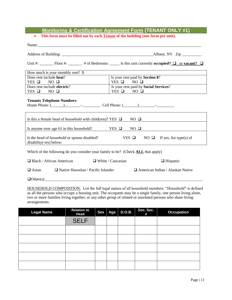# **Monitoring & Certification Agreement Form (TENANT ONLY #1)**

**This form must be filled out by each Tenant of the building (one form per unit).**

| Name:                                                                                            |                                                                                                                       |  |  |  |
|--------------------------------------------------------------------------------------------------|-----------------------------------------------------------------------------------------------------------------------|--|--|--|
|                                                                                                  |                                                                                                                       |  |  |  |
|                                                                                                  | Unit #: Floor #: $\Box$ # of Bedrooms: $\Box$ Is this unit currently <b>occupied?</b> $\Box$ or <b>vacant?</b> $\Box$ |  |  |  |
| How much is your monthly rent? \$                                                                |                                                                                                                       |  |  |  |
| Does rent include heat?                                                                          | Is your rent paid by Section 8?                                                                                       |  |  |  |
| YES $\Box$ NO $\Box$                                                                             | $YES$ NO $\Box$                                                                                                       |  |  |  |
| Does rent include electric?                                                                      | Is your rent paid by Social Services?                                                                                 |  |  |  |
| YES $\Box$ NO $\Box$                                                                             | YES $\Box$ NO $\Box$                                                                                                  |  |  |  |
| <b>Tenants Telephone Numbers:</b><br>Home Phone: $(\_\_\_\_\_\_\_$ Cell Phone: $(\_\_\_\_\_\_\_$ |                                                                                                                       |  |  |  |
| Is this a female head of household with child(ren)? YES $\Box$ NO $\Box$                         |                                                                                                                       |  |  |  |
| Is anyone over age 61 in this household? YES $\Box$ NO $\Box$                                    |                                                                                                                       |  |  |  |
| Is the head of household or spouse disabled?<br>disability(-ies) below:                          | YES $\Box$ NO $\Box$ If yes, list type(s) of                                                                          |  |  |  |
| Which of the following do you consider your family to be? (Check ALL that apply)                 |                                                                                                                       |  |  |  |
| $\Box$ Black / African American $\Box$ White / Caucasian                                         | $\Box$ Hispanic                                                                                                       |  |  |  |
| $\Box$ Native Hawaiian / Pacific Islander<br>$\Box$ Asian                                        | $\Box$ American Indian / Alaskan Native                                                                               |  |  |  |

 $\Box$  Other(s): $\_\_\_\_\_\_\_\_\_\_$ 

HOUSEHOLD COMPOSITION: List the full legal names of all household members. "Household" is defined as all the persons who occupy a housing unit. The occupants may be a single family, one person living alone, two or more families living together, or any other group of related or unrelated persons who share living arrangements.

| <b>Legal Name</b> | <b>Relation to</b><br>Head |  | Sex Age D.O.B. | Soc. Sec.<br># | <b>Occupation</b> |
|-------------------|----------------------------|--|----------------|----------------|-------------------|
|                   | <b>SELF</b>                |  |                |                |                   |
|                   |                            |  |                |                |                   |
|                   |                            |  |                |                |                   |
|                   |                            |  |                |                |                   |
|                   |                            |  |                |                |                   |
|                   |                            |  |                |                |                   |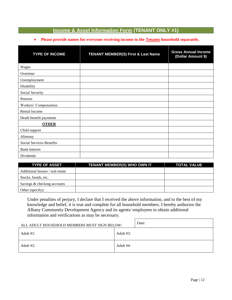## **Income & Asset Information Form (TENANT ONLY #1)**

#### **Please provide names for everyone receiving income in the Tenants household separately.**

| <b>TYPE OF INCOME</b>    | <b>TENANT MEMBER(S) First &amp; Last Name</b> | <b>Gross Annual Income</b><br>(Dollar Amount \$) |
|--------------------------|-----------------------------------------------|--------------------------------------------------|
| Wages                    |                                               |                                                  |
| Overtime                 |                                               |                                                  |
| Unemployment             |                                               |                                                  |
| Disability               |                                               |                                                  |
| Social Security          |                                               |                                                  |
| Pension                  |                                               |                                                  |
| Workers' Compensation    |                                               |                                                  |
| Rental Income            |                                               |                                                  |
| Death benefit payments   |                                               |                                                  |
| <b>OTHER</b>             |                                               |                                                  |
| Child support            |                                               |                                                  |
| Alimony                  |                                               |                                                  |
| Social Services Benefits |                                               |                                                  |
| <b>Bank Interest</b>     |                                               |                                                  |
| Dividends                |                                               |                                                  |

| <b>TYPE OF ASSET</b>            | <b>TENANT MEMBER(S) WHO OWN IT</b> | <b>TOTAL VALUE</b> |
|---------------------------------|------------------------------------|--------------------|
| Additional houses / real estate |                                    |                    |
| Stocks, bonds, etc.             |                                    |                    |
| Savings & checking accounts     |                                    |                    |
| Other (specify):                |                                    |                    |

Under penalties of perjury, I declare that I received the above information, and to the best of my knowledge and belief, it is true and complete for all household members. I hereby authorize the Albany Community Development Agency and its agents/ employees to obtain additional information and verifications as may be necessary.

| ALL ADULT HOUSEHOLD MEMBERS MUST SIGN BELOW: |               | Date: |
|----------------------------------------------|---------------|-------|
| Adult $#1$ :                                 | Adult $\#3$ : |       |
| Adult #2:                                    | Adult #4:     |       |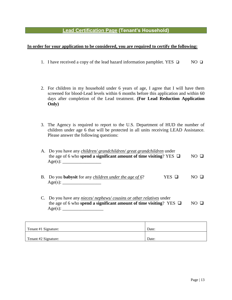# **Lead Certification Page (Tenant's Household)**

#### **In order for your application to be considered, you are required to certify the following:**

- 1. I have received a copy of the lead hazard information pamphlet. YES  $\Box$  NO  $\Box$
- 2. For children in my household under 6 years of age, I agree that I will have them screened for blood-Lead levels within 6 months before this application and within 60 days after completion of the Lead treatment. **(For Lead Reduction Application Only)**
- 3. The Agency is required to report to the U.S. Department of HUD the number of children under age 6 that will be protected in all units receiving LEAD Assistance. Please answer the following questions:

| A. Do you have any <i>children/ grandchildren/ great grandchildren</i> under<br>the age of 6 who spend a significant amount of time visiting? YES $\Box$ |          | $N()$ $\Box$ |  |
|----------------------------------------------------------------------------------------------------------------------------------------------------------|----------|--------------|--|
| B. Do you <b>babysit</b> for any <i>children under the age of 6</i> ?                                                                                    | YES<br>ப |              |  |
| Do you have any <i>nieces/nephews/cousins or other relatives</i> under<br>the age of 6 who spend a significant amount of time visiting? YES $\Box$       |          |              |  |

| Tenant #1 Signature: | Date: |
|----------------------|-------|
|                      |       |
| Tenant #2 Signature: | Date: |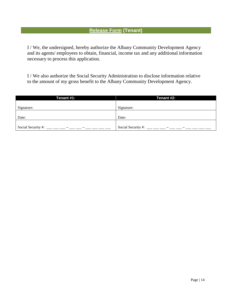# **Release Form (Tenant)**

I / We, the undersigned, hereby authorize the Albany Community Development Agency and its agents/ employees to obtain, financial, income tax and any additional information necessary to process this application.

I / We also authorize the Social Security Administration to disclose information relative to the amount of my gross benefit to the Albany Community Development Agency.

| Tenant #1:         | Tenant #2:         |
|--------------------|--------------------|
|                    |                    |
| Signature:         | Signature:         |
|                    |                    |
| Date:              | Date:              |
|                    |                    |
| Social Security #: | Social Security #: |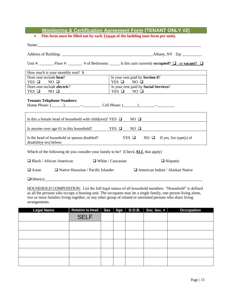# **Monitoring & Certification Agreement Form (TENANT ONLY #2)**

**This form must be filled out by each Tenant of the building (one form per unit).**

|                                                                                                                         | Unit #: Floor #: $\Box$ # of Bedrooms: $\Box$ Is this unit currently <b>occupied?</b> $\Box$ or <b>vacant?</b> $\Box$ |  |  |  |
|-------------------------------------------------------------------------------------------------------------------------|-----------------------------------------------------------------------------------------------------------------------|--|--|--|
| How much is your monthly rent? \$                                                                                       |                                                                                                                       |  |  |  |
| Does rent include heat?                                                                                                 | Is your rent paid by Section 8?                                                                                       |  |  |  |
| YES $\Box$ NO $\Box$                                                                                                    | $YES$ $\Box$ NO $\Box$                                                                                                |  |  |  |
| Does rent include electric?                                                                                             | Is your rent paid by Social Services?                                                                                 |  |  |  |
| $YES \t{D} \tNO \t{D}$                                                                                                  | $YES \Box NO \Box$                                                                                                    |  |  |  |
| <b>Tenants Telephone Numbers:</b><br>Home Phone: $(\_\_\_\_\_\_\_$ Cell Phone: $(\_\_\_\_\_\_\_$                        |                                                                                                                       |  |  |  |
| Is this a female head of household with child (ren)? YES $\Box$                                                         | $NO$ $\Box$                                                                                                           |  |  |  |
|                                                                                                                         | Is anyone over age 61 in this household? YES $\Box$ NO $\Box$                                                         |  |  |  |
| YES $\Box$ NO $\Box$ If yes, list type(s) of<br>Is the head of household or spouse disabled?<br>disability(-ies) below: |                                                                                                                       |  |  |  |
| Which of the following do you consider your family to be? (Check <b>ALL</b> that apply)                                 |                                                                                                                       |  |  |  |
| $\Box$ Black / African American $\Box$ White / Caucasian                                                                | $\Box$ Hispanic                                                                                                       |  |  |  |
| $\Box$ Native Hawaiian / Pacific Islander<br>$\Box$ Asian                                                               | $\Box$ American Indian / Alaskan Native                                                                               |  |  |  |
|                                                                                                                         |                                                                                                                       |  |  |  |

 $\Box$  Other(s): $\_\_$ 

HOUSEHOLD COMPOSITION: List the full legal names of all household members. "Household" is defined as all the persons who occupy a housing unit. The occupants may be a single family, one person living alone, two or more families living together, or any other group of related or unrelated persons who share living arrangements.

| <b>Legal Name</b> | Relation to Head   Sex   Age   D.O.B.   Soc. Sec. # |  |  | <b>Occupation</b> |
|-------------------|-----------------------------------------------------|--|--|-------------------|
|                   | <b>SELF</b>                                         |  |  |                   |
|                   |                                                     |  |  |                   |
|                   |                                                     |  |  |                   |
|                   |                                                     |  |  |                   |
|                   |                                                     |  |  |                   |
|                   |                                                     |  |  |                   |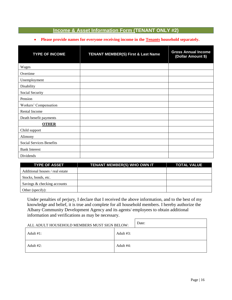## **Income & Asset Information Form (TENANT ONLY #2)**

#### **Please provide names for everyone receiving income in the Tenants household separately.**

| <b>TYPE OF INCOME</b>    | <b>TENANT MEMBER(S) First &amp; Last Name</b> | <b>Gross Annual Income</b><br>(Dollar Amount \$) |
|--------------------------|-----------------------------------------------|--------------------------------------------------|
| Wages                    |                                               |                                                  |
| Overtime                 |                                               |                                                  |
| Unemployment             |                                               |                                                  |
| Disability               |                                               |                                                  |
| Social Security          |                                               |                                                  |
| Pension                  |                                               |                                                  |
| Workers' Compensation    |                                               |                                                  |
| Rental Income            |                                               |                                                  |
| Death benefit payments   |                                               |                                                  |
| <b>OTHER</b>             |                                               |                                                  |
| Child support            |                                               |                                                  |
| Alimony                  |                                               |                                                  |
| Social Services Benefits |                                               |                                                  |
| <b>Bank Interest</b>     |                                               |                                                  |
| Dividends                |                                               |                                                  |

| <b>TYPE OF ASSET</b>            | <b>TENANT MEMBER(S) WHO OWN IT</b> | <b>TOTAL VALUE</b> |
|---------------------------------|------------------------------------|--------------------|
| Additional houses / real estate |                                    |                    |
| Stocks, bonds, etc.             |                                    |                    |
| Savings & checking accounts     |                                    |                    |
| Other (specify):                |                                    |                    |

Under penalties of perjury, I declare that I received the above information, and to the best of my knowledge and belief, it is true and complete for all household members. I hereby authorize the Albany Community Development Agency and its agents/ employees to obtain additional information and verifications as may be necessary.

| ALL ADULT HOUSEHOLD MEMBERS MUST SIGN BELOW: |               | Date: |
|----------------------------------------------|---------------|-------|
| Adult $\#1$ :                                | Adult $\#3$ : |       |
| Adult $#2$ :                                 | Adult #4:     |       |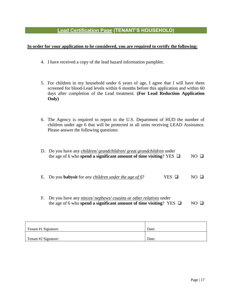# **Lead Certification Page (TENANT'S HOUSEHOLD)**

#### **In order for your application to be considered, you are required to certify the following:**

- 4. I have received a copy of the lead hazard information pamphlet.
- 5. For children in my household under 6 years of age, I agree that I will have them screened for blood-Lead levels within 6 months before this application and within 60 days after completion of the Lead treatment. **(For Lead Reduction Application Only)**
- 6. The Agency is required to report to the U.S. Department of HUD the number of children under age 6 that will be protected in all units receiving LEAD Assistance. Please answer the following questions:

|    | D. Do you have any <i>children/ grandchildren/ great grandchildren</i> under<br>the age of 6 who spend a significant amount of time visiting? YES $\Box$ |       | $NO \Box$ |
|----|----------------------------------------------------------------------------------------------------------------------------------------------------------|-------|-----------|
| Е. | Do you <b>babysit</b> for any <i>children under the age of 6</i> ?                                                                                       | YES - |           |
| F. | Do you have any nieces/nephews/cousins or other relatives under<br>the age of 6 who spend a significant amount of time visiting? YES $\Box$              |       |           |

| Tenant #1 Signature: | Date: |
|----------------------|-------|
|                      |       |
| Tenant #2 Signature: | Date: |